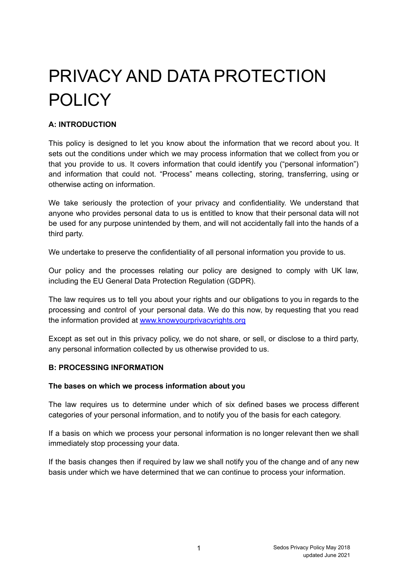# PRIVACY AND DATA PROTECTION POLICY

# **A: INTRODUCTION**

This policy is designed to let you know about the information that we record about you. It sets out the conditions under which we may process information that we collect from you or that you provide to us. It covers information that could identify you ("personal information") and information that could not. "Process" means collecting, storing, transferring, using or otherwise acting on information.

We take seriously the protection of your privacy and confidentiality. We understand that anyone who provides personal data to us is entitled to know that their personal data will not be used for any purpose unintended by them, and will not accidentally fall into the hands of a third party.

We undertake to preserve the confidentiality of all personal information you provide to us.

Our policy and the processes relating our policy are designed to comply with UK law, including the EU General Data Protection Regulation (GDPR).

The law requires us to tell you about your rights and our obligations to you in regards to the processing and control of your personal data. We do this now, by requesting that you read the information provided at [www.knowyourprivacyrights.org](http://www.knowyourprivacyrights.org)

Except as set out in this privacy policy, we do not share, or sell, or disclose to a third party, any personal information collected by us otherwise provided to us.

# **B: PROCESSING INFORMATION**

#### **The bases on which we process information about you**

The law requires us to determine under which of six defined bases we process different categories of your personal information, and to notify you of the basis for each category.

If a basis on which we process your personal information is no longer relevant then we shall immediately stop processing your data.

If the basis changes then if required by law we shall notify you of the change and of any new basis under which we have determined that we can continue to process your information.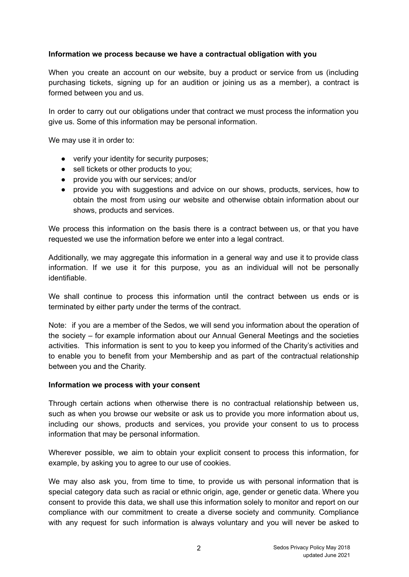## **Information we process because we have a contractual obligation with you**

When you create an account on our website, buy a product or service from us (including purchasing tickets, signing up for an audition or joining us as a member), a contract is formed between you and us.

In order to carry out our obligations under that contract we must process the information you give us. Some of this information may be personal information.

We may use it in order to:

- verify your identity for security purposes;
- sell tickets or other products to you;
- provide you with our services; and/or
- provide you with suggestions and advice on our shows, products, services, how to obtain the most from using our website and otherwise obtain information about our shows, products and services.

We process this information on the basis there is a contract between us, or that you have requested we use the information before we enter into a legal contract.

Additionally, we may aggregate this information in a general way and use it to provide class information. If we use it for this purpose, you as an individual will not be personally identifiable.

We shall continue to process this information until the contract between us ends or is terminated by either party under the terms of the contract.

Note: if you are a member of the Sedos, we will send you information about the operation of the society – for example information about our Annual General Meetings and the societies activities. This information is sent to you to keep you informed of the Charity's activities and to enable you to benefit from your Membership and as part of the contractual relationship between you and the Charity.

#### **Information we process with your consent**

Through certain actions when otherwise there is no contractual relationship between us, such as when you browse our website or ask us to provide you more information about us, including our shows, products and services, you provide your consent to us to process information that may be personal information.

Wherever possible, we aim to obtain your explicit consent to process this information, for example, by asking you to agree to our use of cookies.

We may also ask you, from time to time, to provide us with personal information that is special category data such as racial or ethnic origin, age, gender or genetic data. Where you consent to provide this data, we shall use this information solely to monitor and report on our compliance with our commitment to create a diverse society and community. Compliance with any request for such information is always voluntary and you will never be asked to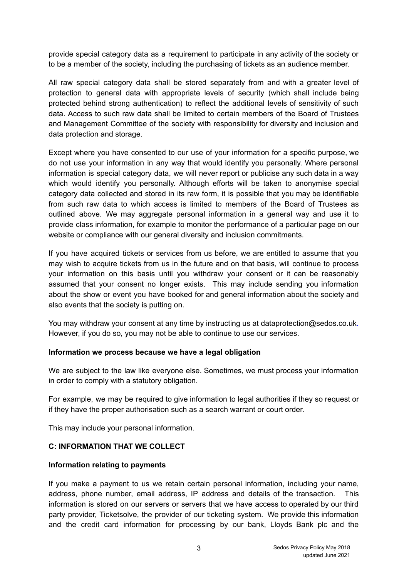provide special category data as a requirement to participate in any activity of the society or to be a member of the society, including the purchasing of tickets as an audience member.

All raw special category data shall be stored separately from and with a greater level of protection to general data with appropriate levels of security (which shall include being protected behind strong authentication) to reflect the additional levels of sensitivity of such data. Access to such raw data shall be limited to certain members of the Board of Trustees and Management Committee of the society with responsibility for diversity and inclusion and data protection and storage.

Except where you have consented to our use of your information for a specific purpose, we do not use your information in any way that would identify you personally. Where personal information is special category data, we will never report or publicise any such data in a way which would identify you personally. Although efforts will be taken to anonymise special category data collected and stored in its raw form, it is possible that you may be identifiable from such raw data to which access is limited to members of the Board of Trustees as outlined above. We may aggregate personal information in a general way and use it to provide class information, for example to monitor the performance of a particular page on our website or compliance with our general diversity and inclusion commitments.

If you have acquired tickets or services from us before, we are entitled to assume that you may wish to acquire tickets from us in the future and on that basis, will continue to process your information on this basis until you withdraw your consent or it can be reasonably assumed that your consent no longer exists. This may include sending you information about the show or event you have booked for and general information about the society and also events that the society is putting on.

You may withdraw your consent at any time by instructing us at dataprotection@sedos.co.uk. However, if you do so, you may not be able to continue to use our services.

#### **Information we process because we have a legal obligation**

We are subject to the law like everyone else. Sometimes, we must process your information in order to comply with a statutory obligation.

For example, we may be required to give information to legal authorities if they so request or if they have the proper authorisation such as a search warrant or court order.

This may include your personal information.

# **C: INFORMATION THAT WE COLLECT**

#### **Information relating to payments**

If you make a payment to us we retain certain personal information, including your name, address, phone number, email address, IP address and details of the transaction. This information is stored on our servers or servers that we have access to operated by our third party provider, Ticketsolve, the provider of our ticketing system. We provide this information and the credit card information for processing by our bank, Lloyds Bank plc and the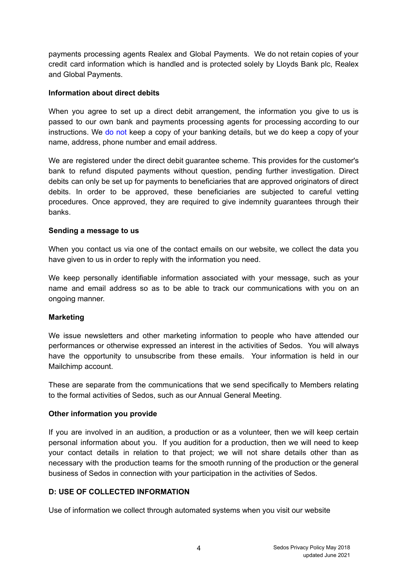payments processing agents Realex and Global Payments. We do not retain copies of your credit card information which is handled and is protected solely by Lloyds Bank plc, Realex and Global Payments.

### **Information about direct debits**

When you agree to set up a direct debit arrangement, the information you give to us is passed to our own bank and payments processing agents for processing according to our instructions. We do not keep a copy of your banking details, but we do keep a copy of your name, address, phone number and email address.

We are registered under the direct debit guarantee scheme. This provides for the customer's bank to refund disputed payments without question, pending further investigation. Direct debits can only be set up for payments to beneficiaries that are approved originators of direct debits. In order to be approved, these beneficiaries are subjected to careful vetting procedures. Once approved, they are required to give indemnity guarantees through their banks.

## **Sending a message to us**

When you contact us via one of the contact emails on our website, we collect the data you have given to us in order to reply with the information you need.

We keep personally identifiable information associated with your message, such as your name and email address so as to be able to track our communications with you on an ongoing manner.

#### **Marketing**

We issue newsletters and other marketing information to people who have attended our performances or otherwise expressed an interest in the activities of Sedos. You will always have the opportunity to unsubscribe from these emails. Your information is held in our Mailchimp account.

These are separate from the communications that we send specifically to Members relating to the formal activities of Sedos, such as our Annual General Meeting.

#### **Other information you provide**

If you are involved in an audition, a production or as a volunteer, then we will keep certain personal information about you. If you audition for a production, then we will need to keep your contact details in relation to that project; we will not share details other than as necessary with the production teams for the smooth running of the production or the general business of Sedos in connection with your participation in the activities of Sedos.

# **D: USE OF COLLECTED INFORMATION**

Use of information we collect through automated systems when you visit our website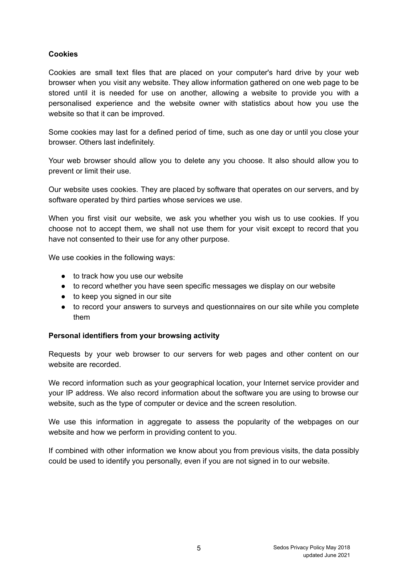# **Cookies**

Cookies are small text files that are placed on your computer's hard drive by your web browser when you visit any website. They allow information gathered on one web page to be stored until it is needed for use on another, allowing a website to provide you with a personalised experience and the website owner with statistics about how you use the website so that it can be improved.

Some cookies may last for a defined period of time, such as one day or until you close your browser. Others last indefinitely.

Your web browser should allow you to delete any you choose. It also should allow you to prevent or limit their use.

Our website uses cookies. They are placed by software that operates on our servers, and by software operated by third parties whose services we use.

When you first visit our website, we ask you whether you wish us to use cookies. If you choose not to accept them, we shall not use them for your visit except to record that you have not consented to their use for any other purpose.

We use cookies in the following ways:

- to track how you use our website
- to record whether you have seen specific messages we display on our website
- to keep you signed in our site
- to record your answers to surveys and questionnaires on our site while you complete them

#### **Personal identifiers from your browsing activity**

Requests by your web browser to our servers for web pages and other content on our website are recorded.

We record information such as your geographical location, your Internet service provider and your IP address. We also record information about the software you are using to browse our website, such as the type of computer or device and the screen resolution.

We use this information in aggregate to assess the popularity of the webpages on our website and how we perform in providing content to you.

If combined with other information we know about you from previous visits, the data possibly could be used to identify you personally, even if you are not signed in to our website.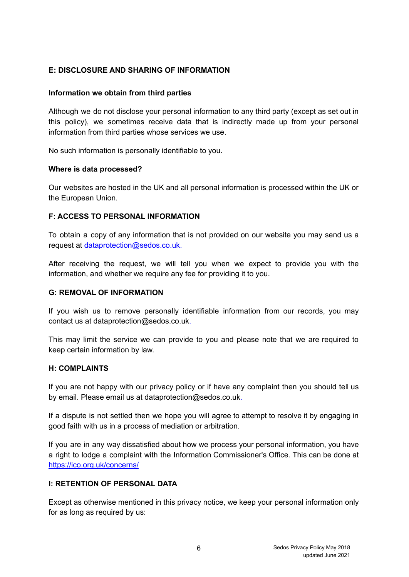# **E: DISCLOSURE AND SHARING OF INFORMATION**

## **Information we obtain from third parties**

Although we do not disclose your personal information to any third party (except as set out in this policy), we sometimes receive data that is indirectly made up from your personal information from third parties whose services we use.

No such information is personally identifiable to you.

#### **Where is data processed?**

Our websites are hosted in the UK and all personal information is processed within the UK or the European Union.

## **F: ACCESS TO PERSONAL INFORMATION**

To obtain a copy of any information that is not provided on our website you may send us a request at dataprotection@sedos.co.uk.

After receiving the request, we will tell you when we expect to provide you with the information, and whether we require any fee for providing it to you.

# **G: REMOVAL OF INFORMATION**

If you wish us to remove personally identifiable information from our records, you may contact us at dataprotection@sedos.co.uk.

This may limit the service we can provide to you and please note that we are required to keep certain information by law.

#### **H: COMPLAINTS**

If you are not happy with our privacy policy or if have any complaint then you should tell us by email. Please email us at dataprotection@sedos.co.uk.

If a dispute is not settled then we hope you will agree to attempt to resolve it by engaging in good faith with us in a process of mediation or arbitration.

If you are in any way dissatisfied about how we process your personal information, you have a right to lodge a complaint with the Information Commissioner's Office. This can be done at <https://ico.org.uk/concerns/>

# **I: RETENTION OF PERSONAL DATA**

Except as otherwise mentioned in this privacy notice, we keep your personal information only for as long as required by us: